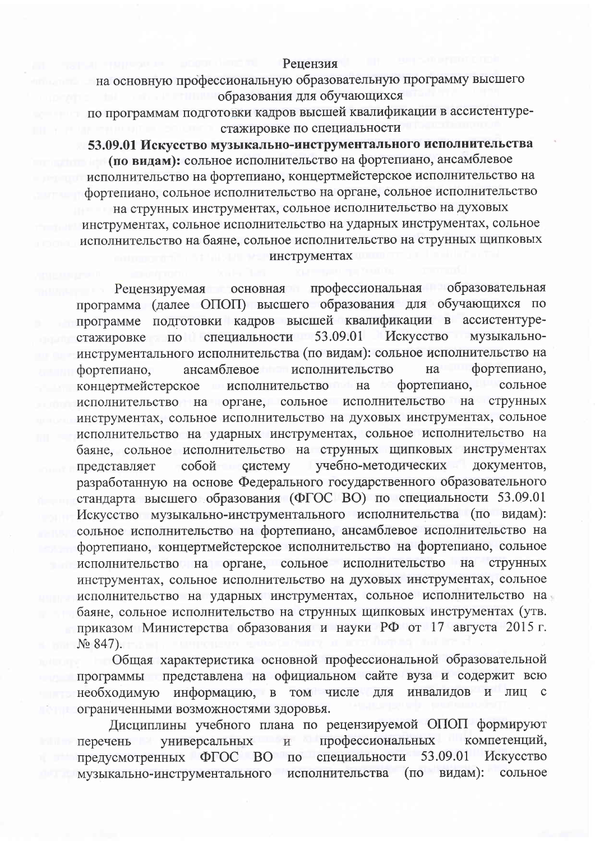## Рецензия

на основную профессиональную образовательную программу высшего образования для обучающихся

по программам подготовки кадров высшей квалификации в ассистентурестажировке по специальности

53.09.01 Искусство музыкально-инструментального исполнительства

(по видам): сольное исполнительство на фортепиано, ансамблевое исполнительство на фортепиано, концертмейстерское исполнительство на фортепиано, сольное исполнительство на органе, сольное исполнительство на струнных инструментах, сольное исполнительство на духовых

инструментах, сольное исполнительство на ударных инструментах, сольное исполнительство на баяне, сольное исполнительство на струнных щипковых инструментах

основная профессиональная образовательная Рецензируемая программа (далее ОПОП) высшего образования для обучающихся по программе подготовки кадров высшей квалификации в ассистентурестажировке по специальности 53.09.01 Искусство музыкальноинструментального исполнительства (по видам): сольное исполнительство на фортепиано, ансамблевое исполнительство фортепиано, на фортепиано, концертмейстерское исполнительство на сольное исполнительство на органе, сольное исполнительство на струнных инструментах, сольное исполнительство на духовых инструментах, сольное исполнительство на ударных инструментах, сольное исполнительство на баяне, сольное исполнительство на струнных щипковых инструментах учебно-методических представляет собой систему документов. разработанную на основе Федерального государственного образовательного стандарта высшего образования (ФГОС ВО) по специальности 53.09.01 Искусство музыкально-инструментального исполнительства (по видам): сольное исполнительство на фортепиано, ансамблевое исполнительство на фортепиано, концертмейстерское исполнительство на фортепиано, сольное исполнительство на органе, сольное исполнительство на струнных инструментах, сольное исполнительство на духовых инструментах, сольное исполнительство на ударных инструментах, сольное исполнительство на баяне, сольное исполнительство на струнных щипковых инструментах (утв. приказом Министерства образования и науки РФ от 17 августа 2015 г.  $N_2$  847).

Общая характеристика основной профессиональной образовательной программы представлена на официальном сайте вуза и содержит всю необходимую информацию, в том числе для инвалидов  $\mathbf{H}$ лиц с ограниченными возможностями здоровья.

Дисциплины учебного плана по рецензируемой ОПОП формируют профессиональных компетенций, универсальных перечень  $\,$   $\,$   $\,$ предусмотренных ФГОС ВО по специальности 53.09.01 Искусство музыкально-инструментального сольное исполнительства (по видам):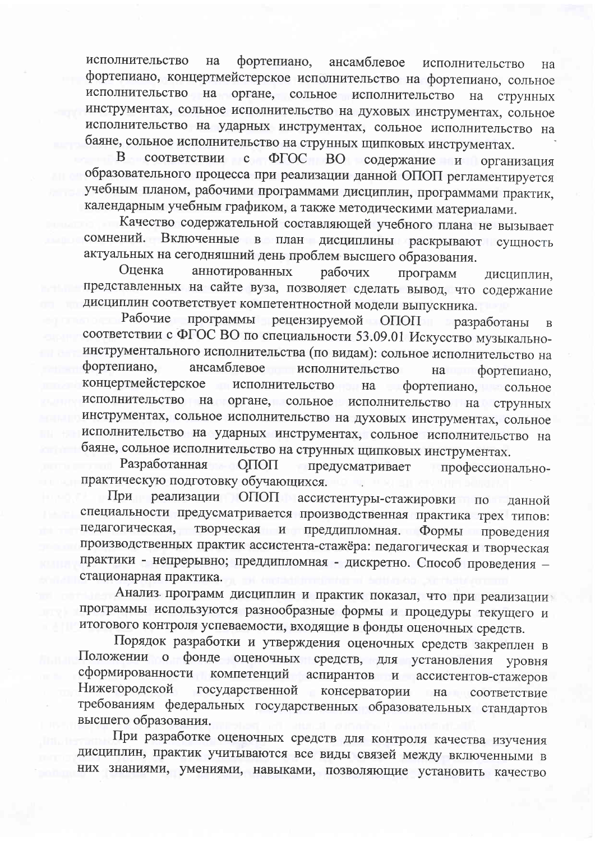фортепиано, ансамблевое исполнительство исполнительство на на фортепиано, концертмейстерское исполнительство на фортепиано, сольное исполнительство на органе, сольное исполнительство на струнных инструментах, сольное исполнительство на духовых инструментах, сольное исполнительство на ударных инструментах, сольное исполнительство на баяне, сольное исполнительство на струнных щипковых инструментах.

соответствии с ФГОС ВО содержание и B. организация образовательного процесса при реализации данной ОПОП регламентируется учебным планом, рабочими программами дисциплин, программами практик, календарным учебным графиком, а также методическими материалами.

Качество содержательной составляющей учебного плана не вызывает сомнений. Включенные в план дисциплины раскрывают сущность актуальных на сегодняшний день проблем высшего образования.

Оценка аннотированных рабочих программ дисциплин, представленных на сайте вуза, позволяет сделать вывод, что содержание дисциплин соответствует компетентностной модели выпускника.

программы рецензируемой ОПОП Рабочие разработаны  $\overline{B}$ соответствии с ФГОС ВО по специальности 53.09.01 Искусство музыкальноинструментального исполнительства (по видам): сольное исполнительство на фортепиано, ансамблевое исполнительство **Ha** фортепиано, концертмейстерское исполнительство на фортепиано, сольное исполнительство на органе, сольное исполнительство на струнных инструментах, сольное исполнительство на духовых инструментах, сольное исполнительство на ударных инструментах, сольное исполнительство на баяне, сольное исполнительство на струнных щипковых инструментах.

Разработанная ОПОП предусматривает профессиональнопрактическую подготовку обучающихся.

При реализации ОПОП ассистентуры-стажировки по данной специальности предусматривается производственная практика трех типов: педагогическая, творческая и преддипломная. Формы проведения производственных практик ассистента-стажёра: педагогическая и творческая практики - непрерывно; преддипломная - дискретно. Способ проведения стационарная практика.

Анализ программ дисциплин и практик показал, что при реализации программы используются разнообразные формы и процедуры текущего и итогового контроля успеваемости, входящие в фонды оценочных средств.

Порядок разработки и утверждения оценочных средств закреплен в Положении о фонде оценочных средств, для установления уровня сформированности компетенций аспирантов и ассистентов-стажеров Нижегородской государственной консерватории на соответствие требованиям федеральных государственных образовательных стандартов высшего образования.

При разработке оценочных средств для контроля качества изучения дисциплин, практик учитываются все виды связей между включенными в них знаниями, умениями, навыками, позволяющие установить качество